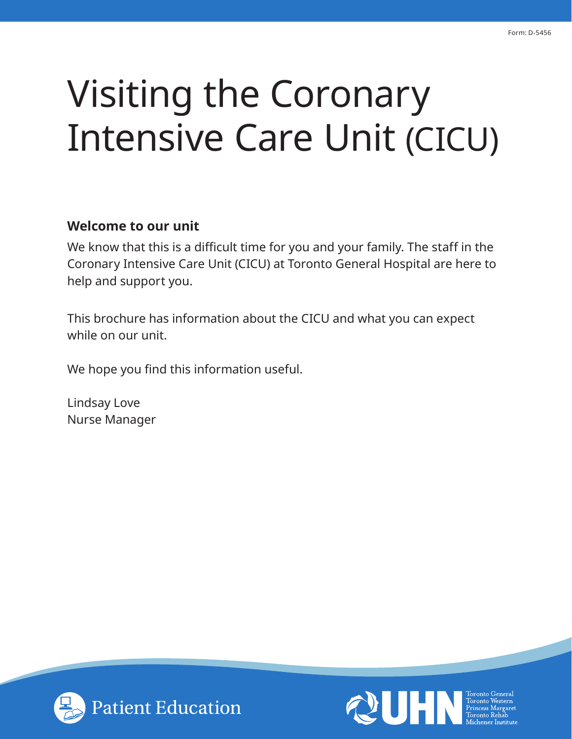# Visiting the Coronary Intensive Care Unit (CICU)

#### **Welcome to our unit**

We know that this is a difficult time for you and your family. The staff in the Coronary Intensive Care Unit (CICU) at Toronto General Hospital are here to help and support you.

This brochure has information about the CICU and what you can expect while on our unit.

We hope you find this information useful.

Lindsay Love Nurse Manager



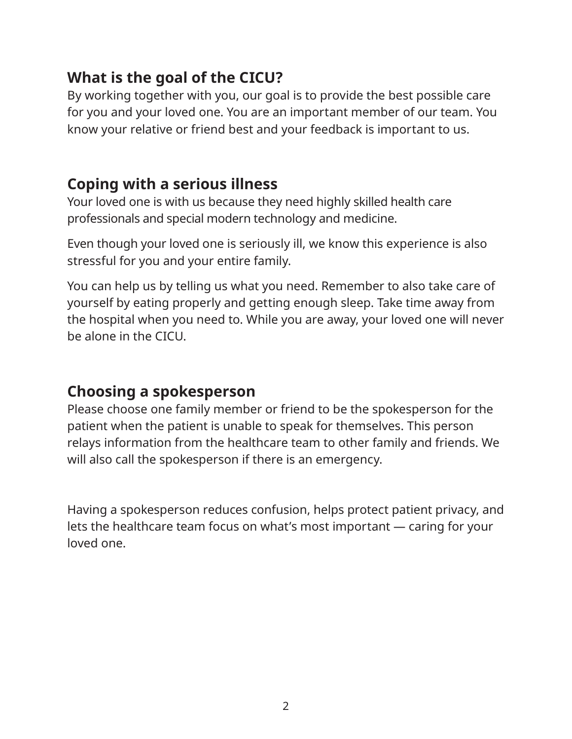## **What is the goal of the CICU?**

By working together with you, our goal is to provide the best possible care for you and your loved one. You are an important member of our team. You know your relative or friend best and your feedback is important to us.

## **Coping with a serious illness**

Your loved one is with us because they need highly skilled health care professionals and special modern technology and medicine.

Even though your loved one is seriously ill, we know this experience is also stressful for you and your entire family.

You can help us by telling us what you need. Remember to also take care of yourself by eating properly and getting enough sleep. Take time away from the hospital when you need to. While you are away, your loved one will never be alone in the CICU.

## **Choosing a spokesperson**

Please choose one family member or friend to be the spokesperson for the patient when the patient is unable to speak for themselves. This person relays information from the healthcare team to other family and friends. We will also call the spokesperson if there is an emergency.

Having a spokesperson reduces confusion, helps protect patient privacy, and lets the healthcare team focus on what's most important — caring for your loved one.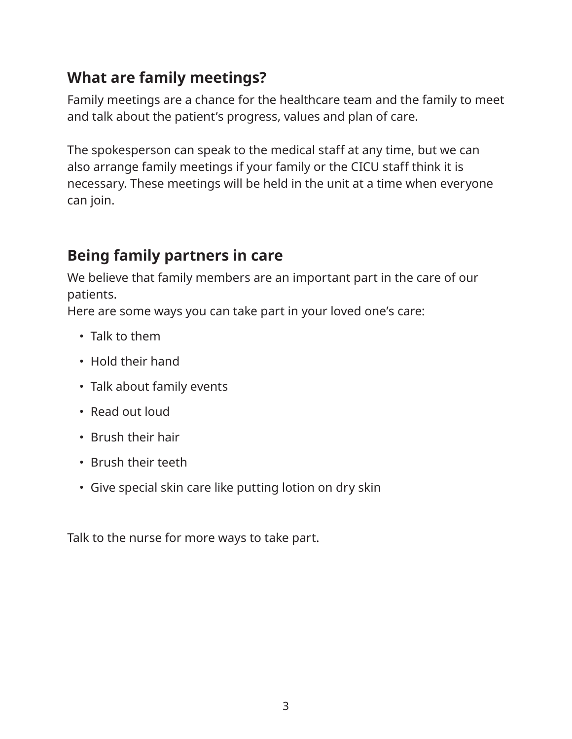## **What are family meetings?**

Family meetings are a chance for the healthcare team and the family to meet and talk about the patient's progress, values and plan of care.

The spokesperson can speak to the medical staff at any time, but we can also arrange family meetings if your family or the CICU staff think it is necessary. These meetings will be held in the unit at a time when everyone can join.

# **Being family partners in care**

We believe that family members are an important part in the care of our patients.

Here are some ways you can take part in your loved one's care:

- Talk to them
- Hold their hand
- Talk about family events
- Read out loud
- Brush their hair
- Brush their teeth
- Give special skin care like putting lotion on dry skin

Talk to the nurse for more ways to take part.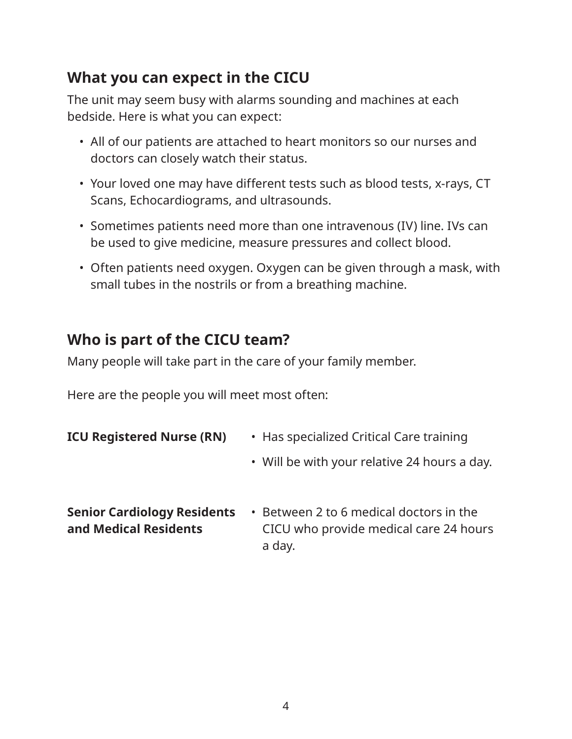## **What you can expect in the CICU**

The unit may seem busy with alarms sounding and machines at each bedside. Here is what you can expect:

- All of our patients are attached to heart monitors so our nurses and doctors can closely watch their status.
- Your loved one may have different tests such as blood tests, x-rays, CT Scans, Echocardiograms, and ultrasounds.
- Sometimes patients need more than one intravenous (IV) line. IVs can be used to give medicine, measure pressures and collect blood.
- Often patients need oxygen. Oxygen can be given through a mask, with small tubes in the nostrils or from a breathing machine.

## **Who is part of the CICU team?**

Many people will take part in the care of your family member.

Here are the people you will meet most often:

| <b>ICU Registered Nurse (RN)</b>                            | • Has specialized Critical Care training                                                    |
|-------------------------------------------------------------|---------------------------------------------------------------------------------------------|
|                                                             | • Will be with your relative 24 hours a day.                                                |
| <b>Senior Cardiology Residents</b><br>and Medical Residents | • Between 2 to 6 medical doctors in the<br>CICU who provide medical care 24 hours<br>a day. |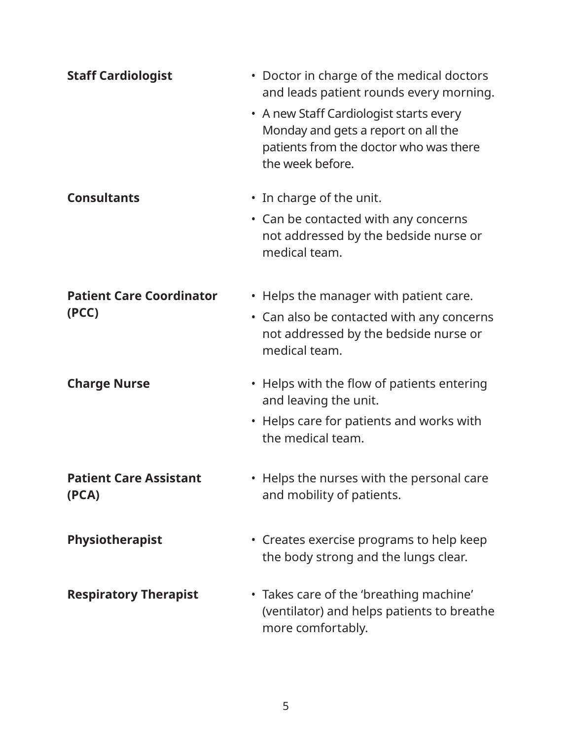| <b>Staff Cardiologist</b>                | • Doctor in charge of the medical doctors<br>and leads patient rounds every morning.<br>• A new Staff Cardiologist starts every<br>Monday and gets a report on all the |
|------------------------------------------|------------------------------------------------------------------------------------------------------------------------------------------------------------------------|
|                                          | patients from the doctor who was there<br>the week before.                                                                                                             |
| <b>Consultants</b>                       | . In charge of the unit.                                                                                                                                               |
|                                          | • Can be contacted with any concerns<br>not addressed by the bedside nurse or<br>medical team.                                                                         |
| <b>Patient Care Coordinator</b><br>(PCC) | • Helps the manager with patient care.                                                                                                                                 |
|                                          | • Can also be contacted with any concerns<br>not addressed by the bedside nurse or<br>medical team.                                                                    |
| <b>Charge Nurse</b>                      | • Helps with the flow of patients entering<br>and leaving the unit.                                                                                                    |
|                                          | • Helps care for patients and works with<br>the medical team.                                                                                                          |
| <b>Patient Care Assistant</b><br>(PCA)   | • Helps the nurses with the personal care<br>and mobility of patients.                                                                                                 |
| Physiotherapist                          | • Creates exercise programs to help keep<br>the body strong and the lungs clear.                                                                                       |
| <b>Respiratory Therapist</b>             | • Takes care of the 'breathing machine'<br>(ventilator) and helps patients to breathe<br>more comfortably.                                                             |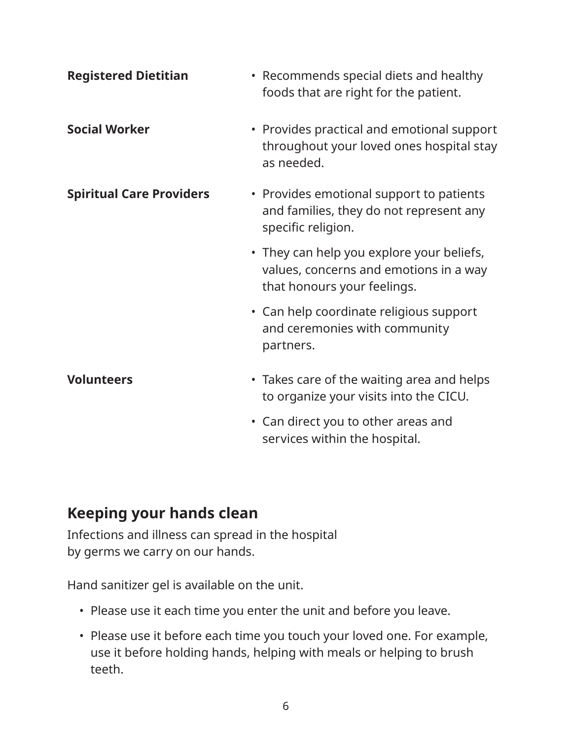| <b>Registered Dietitian</b>     | • Recommends special diets and healthy<br>foods that are right for the patient.                                    |
|---------------------------------|--------------------------------------------------------------------------------------------------------------------|
| <b>Social Worker</b>            | • Provides practical and emotional support<br>throughout your loved ones hospital stay<br>as needed.               |
| <b>Spiritual Care Providers</b> | • Provides emotional support to patients<br>and families, they do not represent any<br>specific religion.          |
|                                 | • They can help you explore your beliefs,<br>values, concerns and emotions in a way<br>that honours your feelings. |
|                                 | • Can help coordinate religious support<br>and ceremonies with community<br>partners.                              |
| <b>Volunteers</b>               | • Takes care of the waiting area and helps<br>to organize your visits into the CICU.                               |
|                                 | • Can direct you to other areas and<br>services within the hospital.                                               |

## **Keeping your hands clean**

Infections and illness can spread in the hospital by germs we carry on our hands.

Hand sanitizer gel is available on the unit.

- Please use it each time you enter the unit and before you leave.
- Please use it before each time you touch your loved one. For example, use it before holding hands, helping with meals or helping to brush teeth.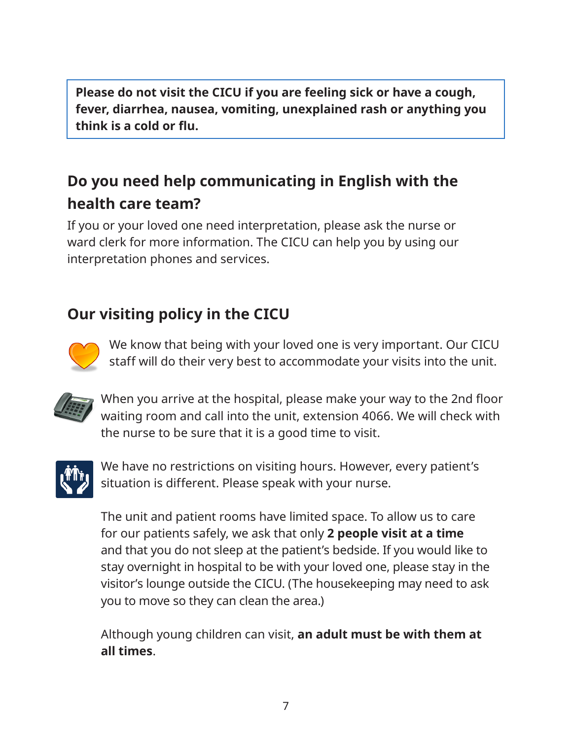**Please do not visit the CICU if you are feeling sick or have a cough, fever, diarrhea, nausea, vomiting, unexplained rash or anything you think is a cold or flu.**

# **Do you need help communicating in English with the health care team?**

If you or your loved one need interpretation, please ask the nurse or ward clerk for more information. The CICU can help you by using our interpretation phones and services.

## **Our visiting policy in the CICU**



We know that being with your loved one is very important. Our CICU staff will do their very best to accommodate your visits into the unit.



When you arrive at the hospital, please make your way to the 2nd floor waiting room and call into the unit, extension 4066. We will check with the nurse to be sure that it is a good time to visit.



We have no restrictions on visiting hours. However, every patient's situation is different. Please speak with your nurse.

The unit and patient rooms have limited space. To allow us to care for our patients safely, we ask that only **2 people visit at a time** and that you do not sleep at the patient's bedside. If you would like to stay overnight in hospital to be with your loved one, please stay in the visitor's lounge outside the CICU. (The housekeeping may need to ask you to move so they can clean the area.)

Although young children can visit, **an adult must be with them at all times**.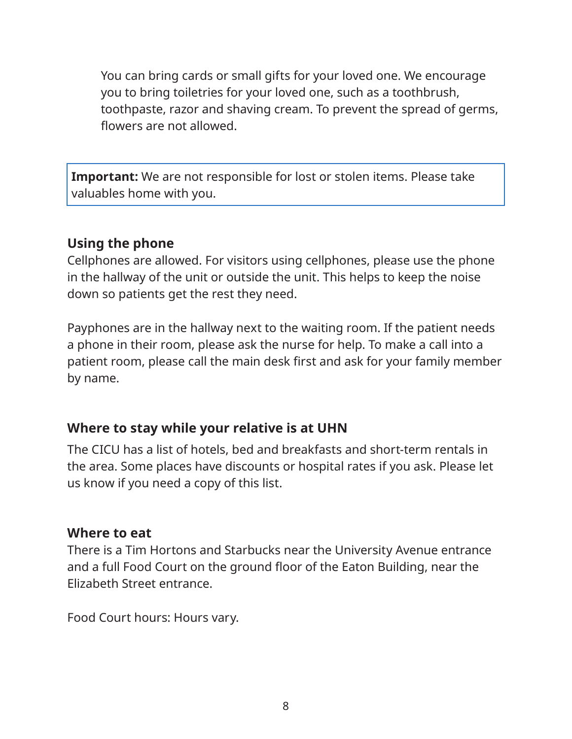You can bring cards or small gifts for your loved one. We encourage you to bring toiletries for your loved one, such as a toothbrush, toothpaste, razor and shaving cream. To prevent the spread of germs, flowers are not allowed.

**Important:** We are not responsible for lost or stolen items. Please take valuables home with you.

#### **Using the phone**

Cellphones are allowed. For visitors using cellphones, please use the phone in the hallway of the unit or outside the unit. This helps to keep the noise down so patients get the rest they need.

Payphones are in the hallway next to the waiting room. If the patient needs a phone in their room, please ask the nurse for help. To make a call into a patient room, please call the main desk first and ask for your family member by name.

#### **Where to stay while your relative is at UHN**

The CICU has a list of hotels, bed and breakfasts and short-term rentals in the area. Some places have discounts or hospital rates if you ask. Please let us know if you need a copy of this list.

#### **Where to eat**

There is a Tim Hortons and Starbucks near the University Avenue entrance and a full Food Court on the ground floor of the Eaton Building, near the Elizabeth Street entrance.

Food Court hours: Hours vary.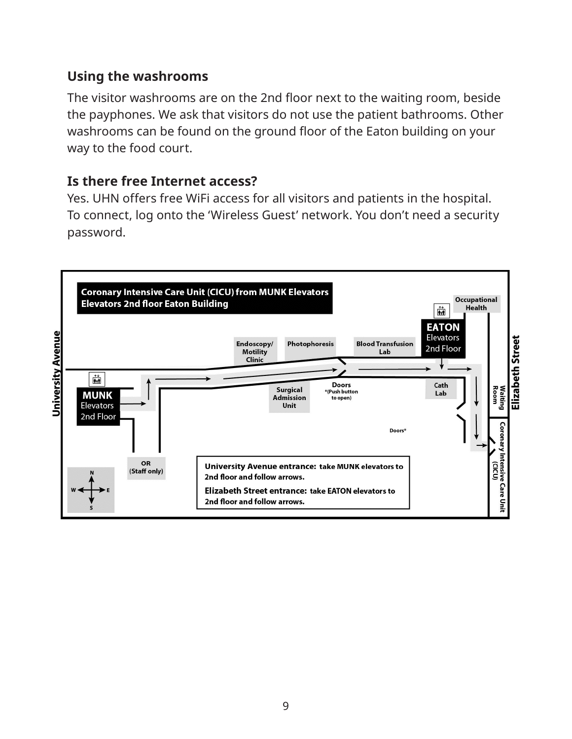#### **Using the washrooms**

The visitor washrooms are on the 2nd floor next to the waiting room, beside the payphones. We ask that visitors do not use the patient bathrooms. Other washrooms can be found on the ground floor of the Eaton building on your way to the food court.

#### **Is there free Internet access?**

Yes. UHN offers free WiFi access for all visitors and patients in the hospital. To connect, log onto the 'Wireless Guest' network. You don't need a security password.